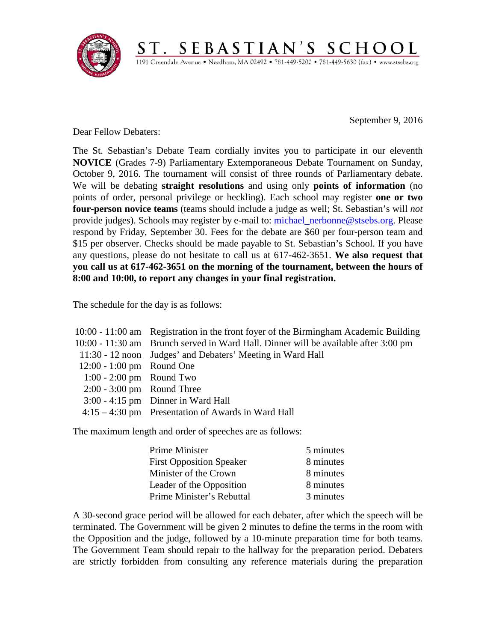

September 9, 2016

Dear Fellow Debaters:

The St. Sebastian's Debate Team cordially invites you to participate in our eleventh **NOVICE** (Grades 7-9) Parliamentary Extemporaneous Debate Tournament on Sunday, October 9, 2016. The tournament will consist of three rounds of Parliamentary debate. We will be debating **straight resolutions** and using only **points of information** (no points of order, personal privilege or heckling). Each school may register **one or two four-person novice teams** (teams should include a judge as well; St. Sebastian's will *not*  provide judges). Schools may register by e-mail to: [michael\\_nerbonne@stsebs.org.](mailto:michael_nerbonne@stsebs.org) Please respond by Friday, September 30. Fees for the debate are \$60 per four-person team and \$15 per observer. Checks should be made payable to St. Sebastian's School. If you have any questions, please do not hesitate to call us at 617-462-3651. **We also request that you call us at 617-462-3651 on the morning of the tournament, between the hours of 8:00 and 10:00, to report any changes in your final registration.**

 $\underbrace{S\ T\ .\ \ S\ E\ B\ A\ S\ T\ I\ A\ N\ '\ S\ \ S\ C\ H\ O\ O\ L}_{\text{1191 Greendale Avenue}\cdot\ \text{Needham},\ \text{MA}\ 02492\bullet781\text{-}449\text{-}5200\bullet781\text{-}449\text{-}5630\ (\text{fax})\bullet\ \text{www-stsebs.org}}$ 

The schedule for the day is as follows:

|                              | 10:00 - 11:00 am Registration in the front foyer of the Birmingham Academic Building |
|------------------------------|--------------------------------------------------------------------------------------|
|                              | 10:00 - 11:30 am Brunch served in Ward Hall. Dinner will be available after 3:00 pm  |
|                              | 11:30 - 12 noon Judges' and Debaters' Meeting in Ward Hall                           |
| 12:00 - 1:00 pm Round One    |                                                                                      |
| $1:00 - 2:00$ pm Round Two   |                                                                                      |
| $2:00 - 3:00$ pm Round Three |                                                                                      |
|                              | $3:00 - 4:15$ pm Dinner in Ward Hall                                                 |
|                              | $4:15-4:30$ pm Presentation of Awards in Ward Hall                                   |
|                              |                                                                                      |

The maximum length and order of speeches are as follows:

| <b>Prime Minister</b>           | 5 minutes |
|---------------------------------|-----------|
| <b>First Opposition Speaker</b> | 8 minutes |
| Minister of the Crown           | 8 minutes |
| Leader of the Opposition        | 8 minutes |
| Prime Minister's Rebuttal       | 3 minutes |

A 30-second grace period will be allowed for each debater, after which the speech will be terminated. The Government will be given 2 minutes to define the terms in the room with the Opposition and the judge, followed by a 10-minute preparation time for both teams. The Government Team should repair to the hallway for the preparation period. Debaters are strictly forbidden from consulting any reference materials during the preparation